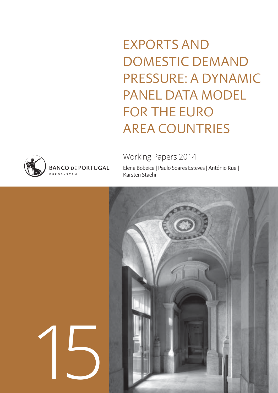EXPORTS AND DOMESTIC DEMAND PRESSURE: A DYNAMIC PANEL DATA MODEL FOR THE EURO AREA COUNTRIES



Working Papers 2014

Elena Bobeica | Paulo Soares Esteves | António Rua | Karsten Staehr

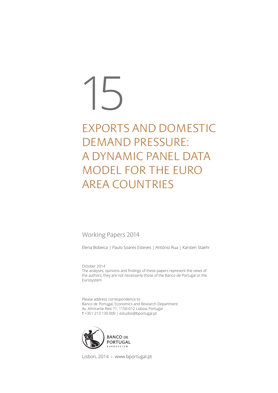# 15

# EXPORTS AND DOMESTIC DEMAND PRESSURE: A DYNAMIC PANEL DATA MODEL FOR THE EURO AREA COUNTRIES

Working Papers 2014

Elena Bobeica | Paulo Soares Esteves | António Rua | Karsten Staehr

October 2014 The analyses, opinions and findings of these papers represent the views of the authors, they are not necessarily those of the Banco de Portugal or the Eurosystem

Please address correspondence to Banco de Portugal, Economics and Research Department Av. Almirante Reis 71, 1150-012 Lisboa, Portugal T +351 213 130 000 | estudos@bportugal.pt



Lisbon, 2014 **•** www.bportugal.pt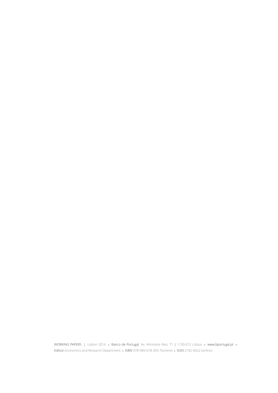WORKING PAPERS | Lisbon 2014 **•** Banco de Portugal Av. Almirante Reis, 71 | 1150-012 Lisboa **•** www.bportugal.pt **•**  Edition Economics and Research Department **•** ISBN 978-989-678-303-7(online) **•** ISSN 2182-0422 (online)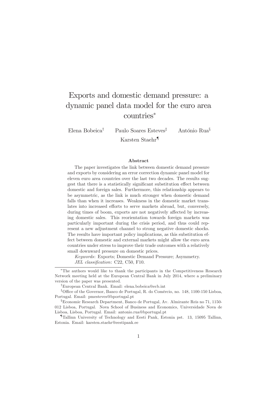## Exports and domestic demand pressure: a dynamic panel data model for the euro area countries<sup>\*</sup>

Elena Bobeica<sup>†</sup> Paulo Soares Esteves<sup>‡</sup> António Rua<sup>§</sup> Karsten Staehr<sup>¶</sup>

### Abstract

The paper investigates the link between domestic demand pressure and exports by considering an error correction dynamic panel model for eleven euro area countries over the last two decades. The results suggest that there is a statistically significant substitution effect between domestic and foreign sales. Furthermore, this relationship appears to be asymmetric, as the link is much stronger when domestic demand falls than when it increases. Weakness in the domestic market translates into increased efforts to serve markets abroad, but, conversely, during times of boom, exports are not negatively affected by increasing domestic sales. This reorientation towards foreign markets was particularly important during the crisis period, and thus could represent a new adjustment channel to strong negative domestic shocks. The results have important policy implications, as this substitution effect between domestic and external markets might allow the euro area countries under stress to improve their trade outcomes with a relatively small downward pressure on domestic prices.

Keywords: Exports; Domestic Demand Pressure; Asymmetry. JEL classification: C22, C50, F10.

<sup>\*</sup>The authors would like to thank the participants in the Competitiveness Research Network meeting held at the European Central Bank in July 2014, where a preliminary version of the paper was presented.

<sup>†</sup>European Central Bank. Email: elena.bobeica@ecb.int

<sup>‡</sup>Office of the Governor, Banco de Portugal, R. do Comércio, no. 148, 1100-150 Lisboa, Portugal. Email: pmesteves@bportugal.pt

 ${}^{8}$ Economic Research Department, Banco de Portugal, Av. Almirante Reis no 71, 1150-012 Lisboa, Portugal. Nova School of Business and Economics, Universidade Nova de Lisboa, Lisboa, Portugal. Email: antonio.rua@bportugal.pt

"Tallinn University of Technology and Eesti Pank, Estonia pst. 13, 15095 Tallinn, Estonia. Email: karsten.staehr@eestipank.ee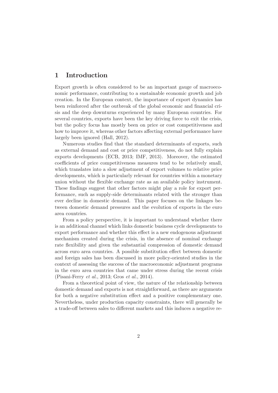### 1 Introduction

Export growth is often considered to be an important gauge of macroeconomic performance, contributing to a sustainable economic growth and job creation. In the European context, the importance of export dynamics has been reinforced after the outbreak of the global economic and financial crisis and the deep downturns experienced by many European countries. For several countries, exports have been the key driving force to exit the crisis, but the policy focus has mostly been on price or cost competitiveness and how to improve it, whereas other factors affecting external performance have largely been ignored (Hall, 2012).

Numerous studies find that the standard determinants of exports, such as external demand and cost or price competitiveness, do not fully explain exports developments (ECB, 2013; IMF, 2013). Moreover, the estimated coefficients of price competitiveness measures tend to be relatively small, which translates into a slow adjustment of export volumes to relative price developments, which is particularly relevant for countries within a monetary union without the flexible exchange rate as an available policy instrument. These findings suggest that other factors might play a role for export performance, such as supply-side determinants related with the stronger than ever decline in domestic demand. This paper focuses on the linkages between domestic demand pressures and the evolution of exports in the euro area countries.

From a policy perspective, it is important to understand whether there is an additional channel which links domestic business cycle developments to export performance and whether this effect is a new endogenous adjustment mechanism created during the crisis, in the absence of nominal exchange rate flexibility and given the substantial compression of domestic demand across euro area countries. A possible substitution effect between domestic and foreign sales has been discussed in more policy-oriented studies in the context of assessing the success of the macroeconomic adjustment programs in the euro area countries that came under stress during the recent crisis (Pisani-Ferry et al., 2013; Gros et al., 2014).

From a theoretical point of view, the nature of the relationship between domestic demand and exports is not straightforward, as there are arguments for both a negative substitution effect and a positive complementary one. Nevertheless, under production capacity constraints, there will generally be a trade-off between sales to different markets and this induces a negative re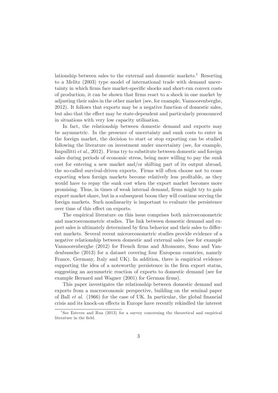lationship between sales to the external and domestic markets.<sup>1</sup> Resorting to a Melitz (2003) type model of international trade with demand uncertainty in which firms face market-specific shocks and short-run convex costs of production, it can be shown that firms react to a shock in one market by adjusting their sales in the other market (see, for example, Vannoorenberghe, 2012). It follows that exports may be a negative function of domestic sales, but also that the effect may be state-dependent and particularly pronounced in situations with very low capacity utilisation.

In fact, the relationship between domestic demand and exports may be asymmetric. In the presence of uncertainty and sunk costs to enter in the foreign market, the decision to start or stop exporting can be studied following the literature on investment under uncertainty (see, for example, Impullitti et al., 2012). Firms try to substitute between domestic and foreign sales during periods of economic stress, being more willing to pay the sunk  $\cot$  for entering a new market and/or shifting part of its output abroad, the so-called survival-driven exports. Firms will often choose not to cease exporting when foreign markets become relatively less profitable, as they would have to repay the sunk cost when the export market becomes more promising. Thus, in times of weak internal demand, firms might try to gain export market share, but in a subsequent boom they will continue serving the foreign markets. Such nonlinearity is important to evaluate the persistence over time of this effect on exports.

The empirical literature on this issue comprises both microeconometric and macroeconometric studies. The link between domestic demand and export sales is ultimately determined by firm behavior and their sales to different markets. Several recent microeconometric studies provide evidence of a negative relationship between domestic and external sales (see for example Vannoorenberghe (2012) for French firms and Altomonte, Sono and Vandenbussche (2013) for a dataset covering four European countries, namely France, Germany, Italy and UK). In addition, there is empirical evidence supporting the idea of a noteworthy persistence in the firm export status, suggesting an asymmetric reaction of exports to domestic demand (see for example Bernard and Wagner (2001) for German firms).

This paper investigates the relationship between domestic demand and exports from a macroeconomic perspective, building on the seminal paper of Ball *et al.* (1966) for the case of UK. In particular, the global financial crisis and its knock-on effects in Europe have recently rekindled the interest

<sup>&</sup>lt;sup>1</sup>See Esteves and Rua (2013) for a survey concerning the theoretical and empirical literature in the field.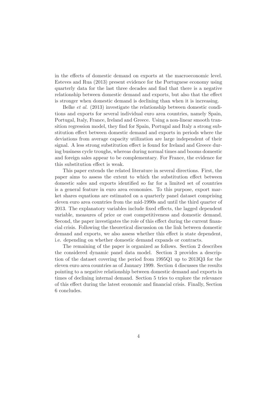in the effects of domestic demand on exports at the macroeconomic level. Esteves and Rua (2013) present evidence for the Portuguese economy using quarterly data for the last three decades and find that there is a negative relationship between domestic demand and exports, but also that the effect is stronger when domestic demand is declining than when it is increasing.

Belke *et al.*  $(2013)$  investigate the relationship between domestic conditions and exports for several individual euro area countries, namely Spain, Portugal, Italy, France, Ireland and Greece. Using a non-linear smooth transition regression model, they find for Spain, Portugal and Italy a strong substitution effect between domestic demand and exports in periods where the deviations from average capacity utilization are large independent of their signal. A less strong substitution effect is found for Ireland and Greece during business cycle troughs, whereas during normal times and booms domestic and foreign sales appear to be complementary. For France, the evidence for this substitution effect is weak.

This paper extends the related literature in several directions. First, the paper aims to assess the extent to which the substitution effect between domestic sales and exports identified so far for a limited set of countries is a general feature in euro area economies. To this purpose, export market shares equations are estimated on a quarterly panel dataset comprising eleven euro area countries from the mid-1990s and until the third quarter of 2013. The explanatory variables include fixed effects, the lagged dependent variable, measures of price or cost competitiveness and domestic demand. Second, the paper investigates the role of this effect during the current finan- $\alpha$  cial crisis. Following the theoretical discussion on the link between domestic demand and exports, we also assess whether this effect is state dependent, i.e. depending on whether domestic demand expands or contracts.

The remaining of the paper is organized as follows. Section 2 describes the considered dynamic panel data model. Section 3 provides a description of the dataset covering the period from  $1995Q1$  up to  $2013Q3$  for the eleven euro area countries as of January 1999. Section 4 discusses the results pointing to a negative relationship between domestic demand and exports in times of declining internal demand. Section 5 tries to explore the relevance of this effect during the latest economic and financial crisis. Finally, Section  $6$  concludes.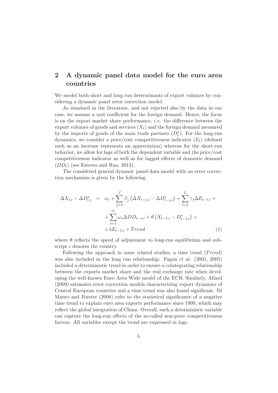### 2 A dynamic panel data model for the euro area countries

We model both short and long run determinants of export volumes by considering a dynamic panel error correction model.

As standard in the literature, and not rejected also by the data in our case, we assume a unit coefficient for the foreign demand. Hence, the focus is on the export market share performance, *i.e.* the difference between the export volumes of goods and services  $(X_t)$  and the foreign demand measured by the imports of goods of the main trade partners  $(D_t^*)$ . For the long-run dynamics, we consider a price/cost competitiveness indicator  $(E_t)$  (defined such as an increase represents an appreciation) whereas for the short-run behavior, we allow for lags of both the dependent variable and the price/cost competitiveness indicator as well as for lagged effects of domestic demand  $(DD_t)$  (see Esteves and Rua, 2013).

The considered general dynamic panel data model with an error correction mechanism is given by the following

$$
\Delta X_{t,i} - \Delta D_{t,i}^{*} = \alpha_{i} + \sum_{j=1}^{J} \beta_{j} \left( \Delta X_{t-j,i} - \Delta D_{t-j,i}^{*} \right) + \sum_{l=1}^{L} \gamma_{l} \Delta E_{t-l,i} + \sum_{s=1}^{S} \omega_{s} \Delta D D_{t-s,i} + \theta \left( X_{t-1,i} - D_{t-1,i}^{*} \right) + \lambda E_{t-1,i} + Trend
$$
\n(1)

where  $\theta$  reflects the speed of adjustment to long-run equilibrium and subscript  $i$  denotes the country.

Following the approach in some related studies, a time trend  $(Trend)$ was also included in the long run relationship. Fagan  $et\ al.$  (2001, 2005) included a deterministic trend in order to ensure a cointegrating relationship between the exports market share and the real exchange rate when developing the well-known Euro Area Wide model of the ECB. Similarly, Allard (2009) estimates error correction models characterizing export dynamics of Central European countries and a time trend was also found significant. Di Mauro and Forster (2008) refer to the statistical significance of a negative time trend to explain euro area exports performance since 1999, which may reflect the global integration of China. Overall, such a deterministic variable can capture the long-run effects of the so-called non-price competitiveness factors. All variables except the trend are expressed in logs.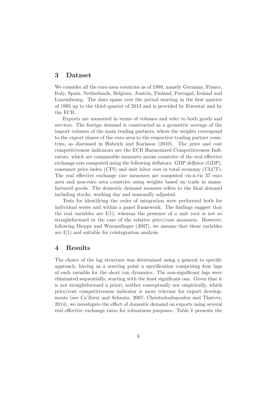### 3 Dataset

We consider all the euro area countries as of 1999, namely Germany, France, Italy, Spain, Netherlands, Belgium, Austria, Finland, Portugal, Ireland and Luxembourg. The data spans over the period starting in the first quarter of 1995 up to the third quarter of 2013 and is provided by Eurostat and by the ECB.

Exports are measured in terms of volumes and refer to both goods and services. The foreign demand is constructed as a geometric average of the import volumes of the main trading partners, where the weights correspond to the export shares of the euro area to the respective trading partner countries, as discussed in Hubrich and Karlsson (2010). The price and cost competitiveness indicators are the ECB Harmonized Competitiveness Indicators, which are comparable measures across countries of the real effective exchange rate computed using the following deflators: GDP deflator (GDP), consumer price index  $(CPI)$  and unit labor cost in total economy  $(ULCT)$ . The real effective exchange rate measures are computed vis-à-vis 37 euro area and non-euro area countries using weights based on trade in manufactured goods. The domestic demand measure refers to the final demand including stocks, working day and seasonally adjusted.

Tests for identifying the order of integration were performed both for individual series and within a panel framework. The findings suggest that the real variables are  $I(1)$ , whereas the presence of a unit root is not so straightforward in the case of the relative price/cost measures. However, following Dieppe and Warmedinger (2007), we assume that these variables are  $I(1)$  and suitable for cointegration analysis.

### 4 Results

The choice of the lag structure was determined using a general to specific approach, having as a starting point a specification comprising four lags of each variable for the short run dynamics. The non-significant lags were eliminated sequentially, starting with the least significant one. Given that it is not straightforward a priori, neither conceptually nor empirically, which price/cost competitiveness indicator is more relevant for export developments (see Ca'Zorzi and Schnatz, 2007; Christodoulopoulou and Tkačevs, 2014), we investigate the effect of domestic demand on exports using several real effective exchange rates for robustness purposes. Table 1 presents the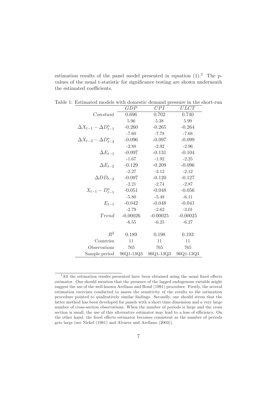estimation results of the panel model presented in equation  $(1).<sup>2</sup>$  The pvalues of the usual t-statistic for significance testing are shown underneath the estimated coefficients.

|                                     | GDP        | CPI                | ULCT       |
|-------------------------------------|------------|--------------------|------------|
| Constant                            | 0.696      | $\overline{0.702}$ | 0.740      |
|                                     | 5.96       | 5.38               | 5.99       |
| $\Delta X_{t-1} - \Delta D_{t-1}^*$ | $-0.260$   | $-0.265$           | $-0.264$   |
|                                     | $-7.60$    | $-7.78$            | $-7.68$    |
| $\Delta X_{t-3} - \Delta D_{t-3}^*$ | $-0.096$   | $-0.097$           | $-0.099$   |
|                                     | $-2.88$    | $-2.92$            | $-2.96$    |
| $\Delta E_{t-1}$                    | $-0.097$   | $-0.131$           | $-0.104$   |
|                                     | $-1.67$    | $-1.92$            | $-2.25$    |
| $\Delta E_{t-2}$                    | $-0.129$   | $-0.209$           | $-0.096$   |
|                                     | $-2.27$    | $-3.12$            | $-2.12$    |
| $\Delta DD_{t-2}$                   | $-0.097$   | $-0.120$           | $-0.127$   |
|                                     | $-2.21$    | $-2.74$            | $-2.87$    |
| $X_{t-1} - D_{t-1}^*$               | $-0.051$   | $-0.048$           | $-0.056$   |
|                                     | $-5.80$    | $-5.48$            | $-6.11$    |
| $E_{t-1}$                           | $-0.042$   | $-0.048$           | $-0.041$   |
|                                     | $-2.79$    | $-2.62$            | $-3.01$    |
| Trend                               | $-0.00026$ | $-0.00025$         | $-0.00025$ |
|                                     | $-6.55$    | $-6.25$            | $-6.27$    |
|                                     |            |                    |            |
| $\mathbb{R}^2$                      | 0.189      | 0.198              | 0.193      |
| Countries                           | 11         | 11                 | 11         |
| Observations                        | 765        | 765                | 765        |
| Sample period                       | 96Q1-13Q3  | 96Q1-13Q3          | 96Q1-13Q3  |

Table 1: Estimated models with domestic demand pressure in the short-run

 $^2$ All the estimation results presented have been obtained using the usual fixed effects estimator. One should mention that the presence of the lagged endogenous variable might suggest the use of the well-known Arellano and Bond (1991) procedure. Firstly, the several estimation exercises conducted to assess the sensitivity of the results to the estimation procedure pointed to qualitatively similar findings. Secondly, one should stress that the latter method has been developed for panels with a short time dimension and a very large number of cross-section observations. When the number of periods is large and the cross section is small, the use of this alternative estimator may lead to a loss of efficiency. On the other hand, the fixed effects estimator becomes consistent as the number of periods gets large (see Nickel (1981) and Alvarez and Arellano (2003)).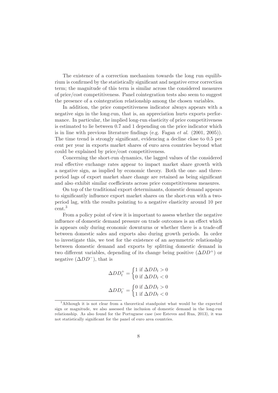The existence of a correction mechanism towards the long run equilibrium is confirmed by the statistically significant and negative error correction term; the magnitude of this term is similar across the considered measures of price/cost competitiveness. Panel cointegration tests also seem to suggest the presence of a cointegration relationship among the chosen variables.

In addition, the price competitiveness indicator always appears with a negative sign in the long-run, that is, an appreciation hurts exports performance. In particular, the implied long-run elasticity of price competitiveness is estimated to lie between 0.7 and 1 depending on the price indicator which is in line with previous literature findings (e.g. Fagan  $et \ al.$   $(2001, 2005)$ ). The time trend is strongly significant, evidencing a decline close to 0.5 per cent per year in exports market shares of euro area countries beyond what could be explained by price/cost competitiveness.

Concerning the short-run dynamics, the lagged values of the considered real effective exchange rates appear to impact market share growth with a negative sign, as implied by economic theory. Both the one- and threeperiod lags of export market share change are retained as being significant and also exhibit similar coefficients across price competitiveness measures.

On top of the traditional export determinants, domestic demand appears to significantly influence export market shares on the short-run with a twoperiod lag, with the results pointing to a negative elasticity around 10 per  $cent<sup>3</sup>$ 

From a policy point of view it is important to assess whether the negative influence of domestic demand pressure on trade outcomes is an effect which is appears only during economic downturns or whether there is a trade-off between domestic sales and exports also during growth periods. In order to investigate this, we test for the existence of an asymmetric relationship between domestic demand and exports by splitting domestic demand in two different variables, depending of its change being positive  $(\Delta DD^+)$  or negative  $(\Delta DD^{-})$ , that is

$$
\Delta DD_t^+ = \begin{cases} 1 \text{ if } \Delta DD_t > 0 \\ 0 \text{ if } \Delta DD_t < 0 \end{cases}
$$

$$
\Delta DD_t^- = \begin{cases} 0 \text{ if } \Delta DD_t > 0 \\ 1 \text{ if } \Delta DD_t < 0 \end{cases}
$$

 ${}^{3}$ Although it is not clear from a theoretical standpoint what would be the expected sign or magnitude, we also assessed the inclusion of domestic demand in the long-run relationship. As also found for the Portuguese case (see Esteves and Rua, 2013), it was not statistically significant for the panel of euro area countries.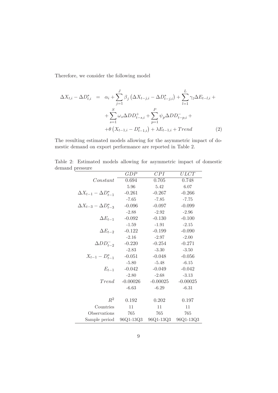Therefore, we consider the following model

$$
\Delta X_{t,i} - \Delta D_{t,i}^{*} = \alpha_{i} + \sum_{j=1}^{J} \beta_{j} \left( \Delta X_{t-j,i} - \Delta D_{t-j,i}^{*} \right) + \sum_{l=1}^{L} \gamma_{l} \Delta E_{t-l,i} + \sum_{s=1}^{S} \omega_{s} \Delta D D_{t-s,i}^{+} + \sum_{p=1}^{P} \psi_{p} \Delta D D_{t-p,i}^{-} + \theta \left( X_{t-1,i} - D_{t-1,i}^{*} \right) + \lambda E_{t-1,i} + Trend
$$
\n(2)

The resulting estimated models allowing for the asymmetric impact of domestic demand on export performance are reported in Table 2.

Table 2: Estimated models allowing for asymmetric impact of domestic  $\rm{demand}$  pressure

|                                     | GDP        | CPI        | ULCT       |
|-------------------------------------|------------|------------|------------|
| Constant                            | 0.694      | 0.705      | 0.748      |
|                                     | 5.96       | 5.42       | 6.07       |
| $\Delta X_{t-1} - \Delta D_{t-1}^*$ | $-0.261$   | $-0.267$   | $-0.266$   |
|                                     | $-7.65$    | $-7.85$    | $-7.75$    |
| $\Delta X_{t-3} - \Delta D_{t-3}^*$ | $-0.096$   | $-0.097$   | $-0.099$   |
|                                     | $-2.88$    | $-2.92$    | $-2.96$    |
| $\Delta E_{t-1}$                    | $-0.092$   | $-0.130$   | $-0.100$   |
|                                     | $-1.59$    | $-1.91$    | $-2.15$    |
| $\Delta E_{t-2}$                    | $-0.122$   | $-0.199$   | $-0.090$   |
|                                     | $-2.16$    | $-2.97$    | $-2.00$    |
| $\Delta DD_{t-2}^-$                 | $-0.220$   | $-0.254$   | $-0.271$   |
|                                     | $-2.83$    | $-3.30$    | $-3.50$    |
| $X_{t-1} - D_{t-1}^*$               | $-0.051$   | $-0.048$   | $-0.056$   |
|                                     | $-5.80$    | $-5.48$    | $-6.15$    |
| $E_{t-1}$                           | $-0.042$   | $-0.049$   | $-0.042$   |
|                                     | $-2.80$    | $-2.68$    | $-3.13$    |
| Trend                               | $-0.00026$ | $-0.00025$ | $-0.00025$ |
|                                     | $-6.63$    | $-6.29$    | $-6.31$    |
|                                     |            |            |            |
| $R^2$                               | 0.192      | 0.202      | 0.197      |
| Countries                           | 11         | 11         | 11         |
| Observations                        | 765        | 765        | 765        |
| Sample period                       | 96Q1-13Q3  | 96Q1-13Q3  | 96Q1-13Q3  |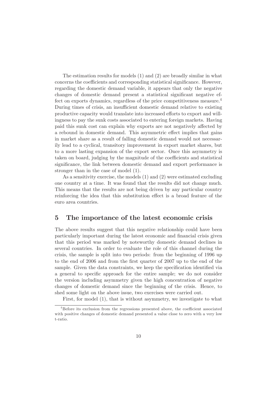The estimation results for models  $(1)$  and  $(2)$  are broadly similar in what concerns the coefficients and corresponding statistical significance. However, regarding the domestic demand variable, it appears that only the negative changes of domestic demand present a statistical significant negative effect on exports dynamics, regardless of the price competitiveness measure.<sup>4</sup> During times of crisis, an insufficient domestic demand relative to existing productive capacity would translate into increased efforts to export and willingness to pay the sunk costs associated to entering foreign markets. Having paid this sunk cost can explain why exports are not negatively affected by a rebound in domestic demand. This asymmetric effect implies that gains in market share as a result of falling domestic demand would not necessarily lead to a cyclical, transitory improvement in export market shares, but to a more lasting expansion of the export sector. Once this asymmetry is taken on board, judging by the magnitude of the coefficients and statistical significance, the link between domestic demand and export performance is stronger than in the case of model  $(1)$ .

As a sensitivity exercise, the models  $(1)$  and  $(2)$  were estimated excluding one country at a time. It was found that the results did not change much. This means that the results are not being driven by any particular country reinforcing the idea that this substitution effect is a broad feature of the euro area countries.

### 5 The importance of the latest economic crisis

The above results suggest that this negative relationship could have been particularly important during the latest economic and financial crisis given that this period was marked by noteworthy domestic demand declines in several countries. In order to evaluate the role of this channel during the crisis, the sample is split into two periods: from the beginning of 1996 up to the end of  $2006$  and from the first quarter of  $2007$  up to the end of the sample. Given the data constraints, we keep the specification identified via a general to specific approach for the entire sample; we do not consider the version including asymmetry given the high concentration of negative changes of domestic demand since the beginning of the crisis. Hence, to shed some light on the above issue, two exercises were carried out.

First, for model (1), that is without asymmetry, we investigate to what

 $4^4$ Before its exclusion from the regressions presented above, the coefficient associated with positive changes of domestic demand presented a value close to zero with a very low t-ratio.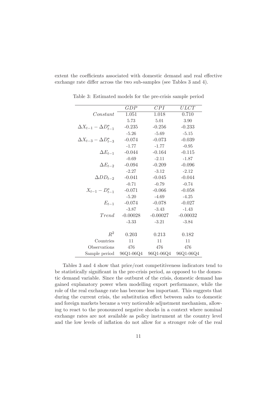|                                     | GDP        | CPI        | ULCT       |
|-------------------------------------|------------|------------|------------|
| Constant                            | 1.051      | 1.018      | 0.710      |
|                                     | 5.73       | 5.01       | 3.90       |
| $\Delta X_{t-1} - \Delta D_{t-1}^*$ | $-0.235$   | $-0.256$   | $-0.233$   |
|                                     | $-5.26$    | $-5.69$    | $-5.15$    |
| $\Delta X_{t-3} - \Delta D_{t-3}^*$ | $-0.074$   | $-0.073$   | $-0.039$   |
|                                     | $-1.77$    | $-1.77$    | $-0.95$    |
| $\Delta E_{t-1}$                    | $-0.044$   | $-0.164$   | $-0.115$   |
|                                     | $-0.69$    | $-2.11$    | $-1.87$    |
| $\Delta E_{t-2}$                    | $-0.094$   | $-0.209$   | $-0.096$   |
|                                     | $-2.27$    | $-3.12$    | $-2.12$    |
| $\Delta DD_{t-2}$                   | $-0.041$   | $-0.045$   | $-0.044$   |
|                                     | $-0.71$    | $-0.79$    | $-0.74$    |
| $X_{t-1} - D_{t-1}^*$               | $-0.071$   | $-0.066$   | $-0.058$   |
|                                     | $-5.20$    | -4.69      | $-4.25$    |
| $E_{t-1}$                           | $-0.074$   | $-0.078$   | $-0.027$   |
|                                     | $-3.87$    | $-3.43$    | $-1.43$    |
| Trend                               | $-0.00028$ | $-0.00027$ | $-0.00032$ |
|                                     | $-3.33$    | $-3.21$    | $-3.84$    |
|                                     |            |            |            |
| $R^2$                               | 0.203      | 0.213      | 0.182      |
| Countries                           | 11         | 11         | 11         |
| Observations                        | 476        | 476        | 476        |
| Sample period                       | 96Q1-06Q4  | 96Q1-06Q4  | 96Q1-06Q4  |

extent the coefficients associated with domestic demand and real effective exchange rate differ across the two sub-samples (see Tables 3 and 4).

Table 3: Estimated models for the pre-crisis sample period

Tables 3 and 4 show that price/cost competitiveness indicators tend to be statistically significant in the pre-crisis period, as opposed to the domestic demand variable. Since the outburst of the crisis, domestic demand has gained explanatory power when modelling export performance, while the role of the real exchange rate has become less important. This suggests that during the current crisis, the substitution effect between sales to domestic and foreign markets became a very noticeable adjustment mechanism, allowing to react to the pronounced negative shocks in a context where nominal exchange rates are not available as policy instrument at the country level and the low levels of inflation do not allow for a stronger role of the real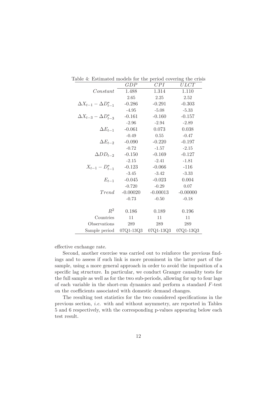|                                             |            |            | sounded models for the period covering the erior |
|---------------------------------------------|------------|------------|--------------------------------------------------|
|                                             | GDP        | CPI        | ULCT                                             |
| Constant                                    | 1.488      | 1.314      | 1.110                                            |
|                                             | 2.65       | 2.25       | 2.52                                             |
| $\Delta X_{t-1} - \Delta D_{t-1}^*$         | $-0.286$   | $-0.291$   | $-0.303$                                         |
|                                             | $-4.95$    | $-5.08$    | $-5.33$                                          |
| $\Delta X_{t-3} - \Delta D_{t-3}^*$         | $-0.161$   | $-0.160$   | $-0.157$                                         |
|                                             | $-2.96$    | $-2.94$    | $-2.89$                                          |
| $\Delta E_{t-1}$                            | $-0.061$   | 0.073      | 0.038                                            |
|                                             | $-0.49$    | 0.55       | $-0.47$                                          |
| $\Delta E_{t-2}$                            | $-0.090$   | $-0.220$   | $-0.197$                                         |
|                                             | $-0.72$    | $-1.57$    | $-2.15$                                          |
| $\Delta DD_{t-2}$                           | $-0.150$   | $-0.169$   | $-0.127$                                         |
|                                             | $-2.15$    | $-2.41$    | $-1.81$                                          |
| $X_{t-1} - D_{t-1}^*$                       | $-0.123$   | $-0.066$   | $-116$                                           |
|                                             | $-3.45$    | $-3.42$    | $-3.33$                                          |
| $E_{t-1}$                                   | $-0.045$   | $-0.023$   | 0.004                                            |
|                                             | $-0.720$   | $-0.29$    | 0.07                                             |
| Trend                                       | $-0.00020$ | $-0.00013$ | $-0.00000$                                       |
|                                             | $-0.73$    | $-0.50$    | $-0.18$                                          |
|                                             |            |            |                                                  |
| $R^2$                                       | 0.186      | 0.189      | 0.196                                            |
| Countries                                   | 11         | 11         | 11                                               |
| Observations                                | 289        | 289        | 289                                              |
| Sample period 07Q1-13Q3 07Q1-13Q3 07Q1-13Q3 |            |            |                                                  |

Table 4: Estimated models for the period covering the crisis

effective exchange rate.

Second, another exercise was carried out to reinforce the previous findings and to assess if such link is more prominent in the latter part of the sample, using a more general approach in order to avoid the imposition of a specific lag structure. In particular, we conduct Granger causality tests for the full sample as well as for the two sub-periods, allowing for up to four lags of each variable in the short-run dynamics and perform a standard  $F$ -test on the coefficients associated with domestic demand changes.

The resulting test statistics for the two considered specifications in the previous section, *i.e.* with and without asymmetry, are reported in Tables 5 and 6 respectively, with the corresponding p-values appearing below each test result.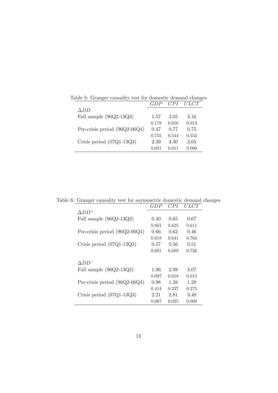|                                 |       | CPI   | <i>ULCT</i> |
|---------------------------------|-------|-------|-------------|
| $\Delta D D$                    |       |       |             |
| Full sample $(96Q2-13Q3)$       | 1.57  | 3.05  | 3.16        |
|                                 | 0.178 | 0.016 | 0.013       |
| Pre-crisis period $(96Q2-06Q4)$ | 0.47  | 0.77  | 0.75        |
|                                 | 0.755 | 0.544 | 0.552       |
| Crisis period $(07Q1-13Q3)$     | 2.39  | 3.30  | 3.65        |
|                                 | 0.051 | 0.011 | 0.006       |

Table 5: Granger causality test for domestic demand changes

|  |  | Table 6: Granger causality test for asymmetric domestic demand changes |                     |  |
|--|--|------------------------------------------------------------------------|---------------------|--|
|  |  |                                                                        | $CDD$ $CDI$ $IITCT$ |  |

|                                 | (TI)F | $\mathcal{C}$ | U LG L |
|---------------------------------|-------|---------------|--------|
| $\Delta D D^+$                  |       |               |        |
| Full sample $(96Q2-13Q3)$       | 0.40  | 0.65          | 0.67   |
|                                 | 0.801 | 0.625         | 0.611  |
| Pre-crisis period $(96Q2-06Q4)$ | 0.66  | 0.62          | 0.46   |
|                                 | 0.618 | 0.641         | 0.763  |
| Crisis period $(07Q1-13Q3)$     | 0.57  | 0.56          | 0.51   |
|                                 | 0.681 | 0.688         | 0.726  |
|                                 |       |               |        |
| $\Delta D D^-$                  |       |               |        |
| Full sample $(96Q2-13Q3)$       | 1.96  | 2.98          | 3.07   |
|                                 | 0.097 | 0.018         | 0.015  |
| Pre-crisis period $(96Q2-06Q4)$ | 0.98  | 1.38          | 1.28   |
|                                 | 0.414 | 0.237         | 0.275  |
| Crisis period $(07Q1-13Q3)$     | 2.21  | 2.81          | 3.48   |
|                                 | 0.067 | 0.025         | 0.008  |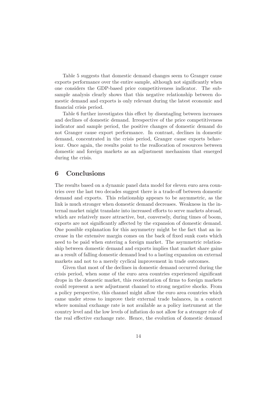Table 5 suggests that domestic demand changes seem to Granger cause exports performance over the entire sample, although not significantly when one considers the GDP-based price competitiveness indicator. The subsample analysis clearly shows that this negative relationship between domestic demand and exports is only relevant during the latest economic and financial crisis period.

Table 6 further investigates this effect by disentagling between increases and declines of domestic demand. Irrespective of the price competitiveness indicator and sample period, the positive changes of domestic demand do not Granger cause export performance. In contrast, declines in domestic demand, concentrated in the crisis period, Granger cause exports behaviour. Once again, the results point to the reallocation of resources between domestic and foreign markets as an adjustment mechanism that emerged during the crisis.

### 6 Conclusions

The results based on a dynamic panel data model for eleven euro area countries over the last two decades suggest there is a trade-off between domestic demand and exports. This relationship appears to be asymmetric, as the link is much stronger when domestic demand decreases. Weakness in the internal market might translate into increased efforts to serve markets abroad, which are relatively more attractive, but, conversely, during times of boom, exports are not significantly affected by the expansion of domestic demand. One possible explanation for this asymmetry might be the fact that an increase in the extensive margin comes on the back of fixed sunk costs which need to be paid when entering a foreign market. The asymmetric relationship between domestic demand and exports implies that market share gains as a result of falling domestic demand lead to a lasting expansion on external markets and not to a merely cyclical improvement in trade outcomes.

Given that most of the declines in domestic demand occurred during the crisis period, when some of the euro area countries experienced significant drops in the domestic market, this reorientation of firms to foreign markets could represent a new adjustment channel to strong negative shocks. From a policy perspective, this channel might allow the euro area countries which came under stress to improve their external trade balances, in a context where nominal exchange rate is not available as a policy instrument at the country level and the low levels of inflation do not allow for a stronger role of the real effective exchange rate. Hence, the evolution of domestic demand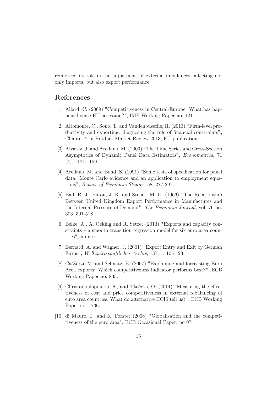reinforced its role in the adjustment of external imbalances, affecting not only imports, but also export performance.

### References

- [1] Allard, C. (2009) "Competitiveness in Central-Europe: What has happened since EU accession?", IMF Working Paper no. 121.
- [2] Altomonte, C., Sono, T. and Vandenbussche, H. (2013) "Firm-level productivity and exporting: diagnosing the role of financial constraints", Chapter 2 in Product Market Review 2013, EU publication.
- [3] Alvarez, J. and Arellano, M. (2003) "The Time Series and Cross-Section Asymptotics of Dynamic Panel Data Estimators", Econometrica, 71  $(4)$ , 1121-1159.
- [4] Arellano, M. and Bond, S. (1991) "Some tests of specification for panel data: Monte Carlo evidence and an application to employment equations", Review of Economic Studies, 58, 277-297.
- [5] Ball, R. J., Eaton, J. R. and Steuer, M. D. (1966) "The Relationship Between United Kingdom Export Performance in Manufactures and the Internal Pressure of Demand", The Economic Journal, vol. 76 no. 303, 501-518.
- [6] Belke, A., A. Oeking and R. Setzer (2013) "Exports and capacity constraints – a smooth transition regression model for six euro area countries", mimeo.
- [7] Bernard, A. and Wagner, J. (2001) "Export Entry and Exit by German Firms", Welktwirtschaftliches Archiv, 137, 1, 105-123.
- [8] Ca'Zorzi, M. and Schnatz, B. (2007) "Explaining and forecasting Euro Area exports: Which competitiveness indicator performs best?", ECB Working Paper no. 833.
- [9] Christodoulopoulou, S., and Tkačevs, O. (2014) "Measuring the effectiveness of cost and price competitiveness in external rebalancing of euro area countries. What do alternative HCIS tell us?", ECB Working Paper no. 1736.
- [10] di Mauro, F. and K. Forster  $(2008)$  "Globalisation and the competitiveness of the euro area", ECB Occasional Paper, no 97.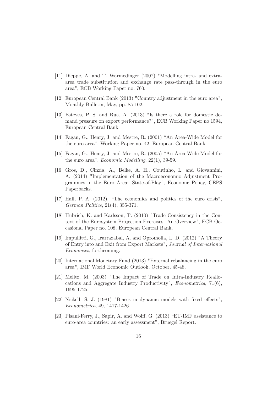- [11] Dieppe, A. and T. Warmedinger (2007) "Modelling intra- and extraarea trade substitution and exchange rate pass-through in the euro area", ECB Working Paper no. 760.
- [12] European Central Bank (2013) "Country adjustment in the euro area", Monthly Bulletin, May, pp. 85-102.
- [13] Esteves, P. S. and Rua, A. (2013) "Is there a role for domestic demand pressure on export performance?", ECB Working Paper no 1594, European Central Bank.
- [14] Fagan, G., Henry, J. and Mestre, R. (2001) "An Area-Wide Model for the euro area", Working Paper no. 42, European Central Bank.
- [15] Fagan, G., Henry, J. and Mestre, R. (2005) "An Area-Wide Model for the euro area", *Economic Modelling*,  $22(1)$ ,  $39-59$ .
- [16] Gros, D., Cinzia, A., Belke, A. H., Coutinho, L. and Giovannini, A. (2014) "Implementation of the Macroeconomic Adjustment Programmes in the Euro Area: State-of-Play", Economic Policy, CEPS Paperbacks.
- [17] Hall, P. A.  $(2012)$ , "The economics and politics of the euro crisis", German Politics, 21(4), 355-371.
- [18] Hubrich, K. and Karlsson, T. (2010) "Trade Consistency in the Context of the Eurosystem Projection Exercises: An Overview", ECB Occasional Paper no. 108, European Central Bank.
- [19] Impullitti, G., Irarrazabal, A. and Opromolla, L. D. (2012) "A Theory of Entry into and Exit from Export Markets", Journal of International *Economics*, forthcoming.
- [20] International Monetary Fund (2013) "External rebalancing in the euro area", IMF World Economic Outlook, October, 45-48.
- [21] Melitz, M. (2003) "The Impact of Trade on Intra-Industry Reallocations and Aggregate Industry Productivity", *Econometrica*,  $71(6)$ , 1695-1725.
- [22] Nickell, S. J. (1981) "Biases in dynamic models with fixed effects". Econometrica, 49, 1417-1426.
- [23] Pisani-Ferry, J., Sapir, A. and Wolff, G. (2013) "EU-IMF assistance to euro-area countries: an early assessment", Bruegel Report.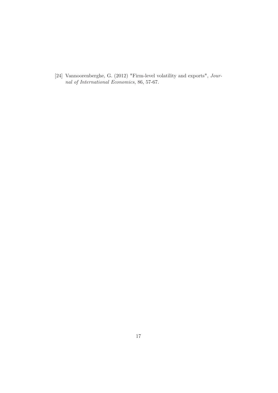[24] Vannoorenberghe, G. (2012) "Firm-level volatility and exports",  $Jour$  $nal$  of International Economics, 86, 57-67.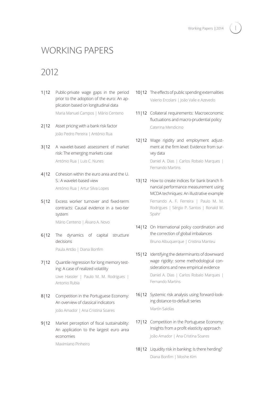I

# WORKING PAPERS

# 2012

- 1|12 Public-private wage gaps in the period prior to the adoption of the euro: An application based on longitudinal data Maria Manuel Campos | Mário Centeno
- 2|12 Asset pricing with a bank risk factor João Pedro Pereira | António Rua
- 3|12 A wavelet-based assessment of market risk: The emerging markets case António Rua | Luis C. Nunes
- 4|12 Cohesion within the euro area and the U. S.: A wavelet-based view António Rua | Artur Silva Lopes
- 5|12 Excess worker turnover and fixed-term contracts: Causal evidence in a two-tier system Mário Centeno | Álvaro A. Novo
- 6|12 The dynamics of capital structure decisions Paula Antão | Diana Bonfim
- 7|12 Quantile regression for long memory testing: A case of realized volatility

 Uwe Hassler | Paulo M. M. Rodrigues | Antonio Rubia

- 8|12 Competition in the Portuguese Economy: An overview of classical indicators João Amador | Ana Cristina Soares
- 9|12 Market perception of fiscal sustainability: An application to the largest euro area economies

Maximiano Pinheiro

- 10|12 The effects of public spending externalities Valerio Ercolani | João Valle e Azevedo
- 11|12 Collateral requirements: Macroeconomic fluctuations and macro-prudential policy Caterina Mendicino
- 12|12 Wage rigidity and employment adjustment at the firm level: Evidence from survey data Daniel A. Dias | Carlos Robalo Marques |

Fernando Martins

- 13|12 How to create indices for bank branch financial performance measurement using MCDA techniques: An illustrative example Fernando A. F. Ferreira | Paulo M. M. Rodrigues | Sérgio P. Santos | Ronald W. Spahr
- 14|12 On International policy coordination and the correction of global imbalances Bruno Albuquerque | Cristina Manteu
- 15|12 Identifying the determinants of downward wage rigidity: some methodological considerations and new empirical evidence Daniel A. Dias | Carlos Robalo Marques | Fernando Martins
- 16|12 Systemic risk analysis using forward-looking distance-to-default series Martín Saldías
- 17|12 Competition in the Portuguese Economy: Insights from a profit elasticity approach João Amador | Ana Cristina Soares
- 18|12 Liquidity risk in banking: Is there herding? Diana Bonfim | Moshe Kim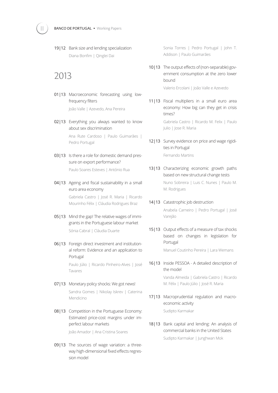

19|12 Bank size and lending specialization Diana Bonfim | Qinglei Dai

# 2013

- 01|13 Macroeconomic forecasting using lowfrequency filters João Valle | Azevedo, Ana Pereira
- 02|13 Everything you always wanted to know about sex discrimination Ana Rute Cardoso | Paulo Guimarães | Pedro Portugal
- 03 | 13 Is there a role for domestic demand pressure on export performance? Paulo Soares Esteves | António Rua
- 04|13 Ageing and fiscal sustainability in a small euro area economy Gabriela Castro | José R. Maria | Ricardo

Mourinho Félix | Cláudia Rodrigues Braz

- 05|13 Mind the gap! The relative wages of immigrants in the Portuguese labour market Sónia Cabral | Cláudia Duarte
- 06|13 Foreign direct investment and institutional reform: Evidence and an application to Portugal

Paulo Júlio | Ricardo Pinheiro-Alves | José Tavares

- 07|13 Monetary policy shocks: We got news! Sandra Gomes | Nikolay Iskrev | Caterina Mendicino
- 08|13 Competition in the Portuguese Economy: Estimated price-cost margins under imperfect labour markets

João Amador | Ana Cristina Soares

09|13 The sources of wage variation: a threeway high-dimensional fixed effects regression model

Sonia Torres | Pedro Portugal | John T. Addison | Paulo Guimarães

10|13 The output effects of (non-separable) government consumption at the zero lower bound

Valerio Ercolani | João Valle e Azevedo

11|13 Fiscal multipliers in a small euro area economy: How big can they get in crisis times? Gabriela Castro | Ricardo M. Felix | Paulo

Julio | Jose R. Maria

12|13 Survey evidence on price and wage rigidities in Portugal Fernando Martins

- 13|13 Characterizing economic growth paths based on new structural change tests Nuno Sobreira | Luis C. Nunes | Paulo M. M. Rodrigues
- 14|13 Catastrophic job destruction Anabela Carneiro | Pedro Portugal | José

Varejão

15|13 Output effects of a measure of tax shocks based on changes in legislation for Portugal

Manuel Coutinho Pereira | Lara Wemans

16|13 Inside PESSOA - A detailed description of the model

> Vanda Almeida | Gabriela Castro | Ricardo M. Félix | Paulo Júlio | José R. Maria

- 17|13 Macroprudential regulation and macroeconomic activity Sudipto Karmakar
- 18|13 Bank capital and lending: An analysis of commercial banks in the United States Sudipto Karmakar | Junghwan Mok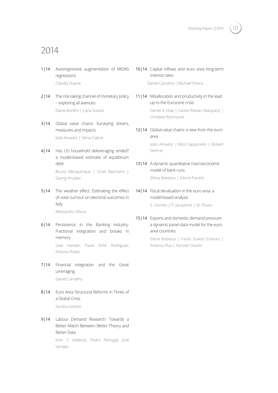III

# 2014

- 1|14 Autoregressive augmentation of MIDAS regressions Cláudia Duarte
- 2|14 The risk-taking channel of monetary policy – exploring all avenues Diana Bonfim | Carla Soares
- 3|14 Global value chains: Surveying drivers, measures and impacts João Amador | Sónia Cabral
- 4|14 Has US household deleveraging ended? a model-based estimate of equilibrium debt Bruno Albuquerque | Ursel Baumann | Georgi Krustev
- 5|14 The weather effect: Estimating the effect of voter turnout on electoral outcomes in Italy Alessandro Sforza
- 6|14 Persistence in the Banking Industry: Fractional integration and breaks in memory

 Uwe Hassler, Paulo M.M. Rodrigues, Antonio Rubia

- 7|14 Financial integration and the Great Leveraging Daniel Carvalho
- 8|14 Euro Area Structural Reforms in Times of a Global Crisis Sandra Gomes
- 9|14 Labour Demand Research: Towards a Better Match Between Better Theory and Better Data

 John T. Addison, Pedro Portugal, José Varejão

- 10|14 Capital inflows and euro area long-term interest rates Daniel Carvalho | Michael Fidora
- 11 | 14 Misallocation and productivity in the lead up to the Eurozone crisis Daniel A. Dias | Carlos Robalo Marquesz | Christine Richmond
- 12|14 Global value chains: a view from the euro area João Amador | Rita Cappariello | Robert Stehrer
- 13|14 A dynamic quantitative macroeconomic model of bank runs Elena Mattana | Ettore Panetti
- 14|14 Fiscal devaluation in the euro area: a model-based analysis

S. Gomes | P. Jacquinot | M. Pisani

15|14 Exports and domestic demand pressure: a dynamic panel data model for the euro area countries

> Elena Bobeica | Paulo Soares Esteves | António Rua | Karsten Staehr